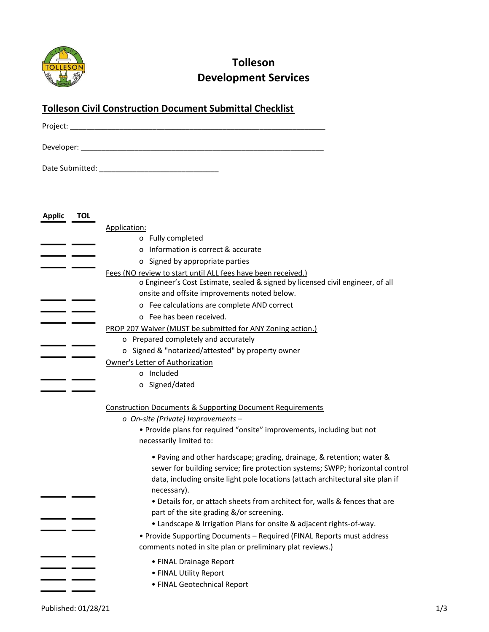

## Tolleson Development Services

## Tolleson Civil Construction Document Submittal Checklist

| Project:   |  |  |  |
|------------|--|--|--|
| Developer: |  |  |  |

Date Submitted: \_\_\_\_\_\_\_\_\_\_\_\_\_\_\_\_\_\_\_\_\_\_\_\_\_\_\_\_\_

| <b>Applic</b> | <b>TOL</b> |                                                                                                                                    |  |  |
|---------------|------------|------------------------------------------------------------------------------------------------------------------------------------|--|--|
|               |            | Application:                                                                                                                       |  |  |
|               |            | o Fully completed                                                                                                                  |  |  |
|               |            | o Information is correct & accurate                                                                                                |  |  |
|               |            | o Signed by appropriate parties                                                                                                    |  |  |
|               |            | Fees (NO review to start until ALL fees have been received.)                                                                       |  |  |
|               |            | o Engineer's Cost Estimate, sealed & signed by licensed civil engineer, of all                                                     |  |  |
|               |            | onsite and offsite improvements noted below.                                                                                       |  |  |
|               |            | o Fee calculations are complete AND correct                                                                                        |  |  |
|               |            | o Fee has been received.                                                                                                           |  |  |
|               |            | PROP 207 Waiver (MUST be submitted for ANY Zoning action.)                                                                         |  |  |
|               |            | o Prepared completely and accurately                                                                                               |  |  |
|               |            | o Signed & "notarized/attested" by property owner                                                                                  |  |  |
|               |            | Owner's Letter of Authorization                                                                                                    |  |  |
|               |            | o Included                                                                                                                         |  |  |
|               |            | o Signed/dated                                                                                                                     |  |  |
|               |            |                                                                                                                                    |  |  |
|               |            | <b>Construction Documents &amp; Supporting Document Requirements</b>                                                               |  |  |
|               |            | o On-site (Private) Improvements -                                                                                                 |  |  |
|               |            | . Provide plans for required "onsite" improvements, including but not<br>necessarily limited to:                                   |  |  |
|               |            |                                                                                                                                    |  |  |
|               |            | • Paving and other hardscape; grading, drainage, & retention; water &                                                              |  |  |
|               |            | sewer for building service; fire protection systems; SWPP; horizontal control                                                      |  |  |
|               |            | data, including onsite light pole locations (attach architectural site plan if                                                     |  |  |
|               |            | necessary).                                                                                                                        |  |  |
|               |            | • Details for, or attach sheets from architect for, walls & fences that are                                                        |  |  |
|               |            | part of the site grading &/or screening.                                                                                           |  |  |
|               |            | • Landscape & Irrigation Plans for onsite & adjacent rights-of-way.                                                                |  |  |
|               |            | • Provide Supporting Documents - Required (FINAL Reports must address<br>comments noted in site plan or preliminary plat reviews.) |  |  |
|               |            | • FINAL Drainage Report                                                                                                            |  |  |
|               |            | • FINAL Utility Report                                                                                                             |  |  |
|               |            | · FINAL Geotechnical Report                                                                                                        |  |  |
|               |            |                                                                                                                                    |  |  |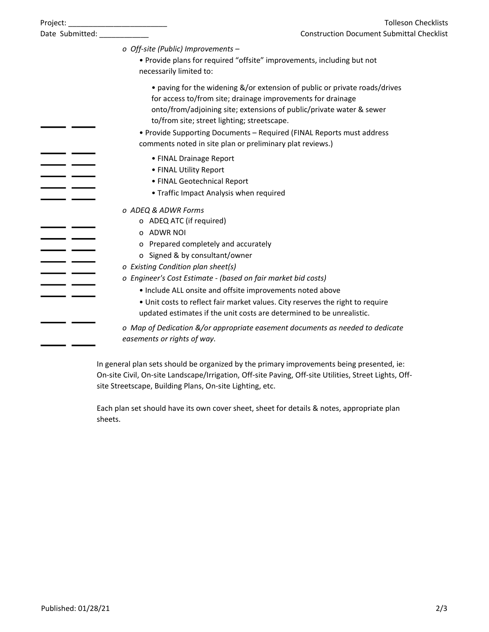| Project:             | <b>Tolleson Checklists</b><br><u> 1990 - Johann Barn, mars and de Branch Barn, mars and de Branch Barn, mars and de Branch Barn, mars and de Br</u>                                                                                                              |  |  |  |
|----------------------|------------------------------------------------------------------------------------------------------------------------------------------------------------------------------------------------------------------------------------------------------------------|--|--|--|
| Date Submitted: ____ | <b>Construction Document Submittal Checklist</b>                                                                                                                                                                                                                 |  |  |  |
|                      | o Off-site (Public) Improvements -<br>. Provide plans for required "offsite" improvements, including but not                                                                                                                                                     |  |  |  |
|                      | necessarily limited to:                                                                                                                                                                                                                                          |  |  |  |
|                      | • paving for the widening &/or extension of public or private roads/drives<br>for access to/from site; drainage improvements for drainage<br>onto/from/adjoining site; extensions of public/private water & sewer<br>to/from site; street lighting; streetscape. |  |  |  |
|                      | • Provide Supporting Documents - Required (FINAL Reports must address<br>comments noted in site plan or preliminary plat reviews.)                                                                                                                               |  |  |  |
|                      | • FINAL Drainage Report                                                                                                                                                                                                                                          |  |  |  |
|                      | • FINAL Utility Report                                                                                                                                                                                                                                           |  |  |  |
|                      | • FINAL Geotechnical Report<br>• Traffic Impact Analysis when required                                                                                                                                                                                           |  |  |  |
|                      | o ADEQ & ADWR Forms                                                                                                                                                                                                                                              |  |  |  |
|                      | o ADEQ ATC (if required)                                                                                                                                                                                                                                         |  |  |  |
|                      | o ADWR NOI                                                                                                                                                                                                                                                       |  |  |  |
|                      | o Prepared completely and accurately                                                                                                                                                                                                                             |  |  |  |
|                      | o Signed & by consultant/owner                                                                                                                                                                                                                                   |  |  |  |
|                      | o Existing Condition plan sheet(s)                                                                                                                                                                                                                               |  |  |  |
|                      | o Engineer's Cost Estimate - (based on fair market bid costs)                                                                                                                                                                                                    |  |  |  |
|                      | . Include ALL onsite and offsite improvements noted above                                                                                                                                                                                                        |  |  |  |
|                      | • Unit costs to reflect fair market values. City reserves the right to require<br>updated estimates if the unit costs are determined to be unrealistic.                                                                                                          |  |  |  |
|                      | o Map of Dedication &/or appropriate easement documents as needed to dedicate<br>easements or rights of way.                                                                                                                                                     |  |  |  |

In general plan sets should be organized by the primary improvements being presented, ie: On-site Civil, On-site Landscape/Irrigation, Off-site Paving, Off-site Utilities, Street Lights, Offsite Streetscape, Building Plans, On-site Lighting, etc.

Each plan set should have its own cover sheet, sheet for details & notes, appropriate plan sheets.